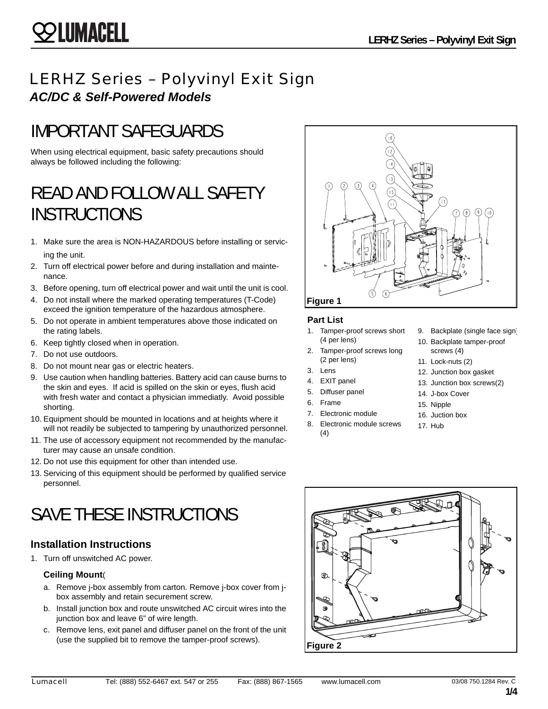## LERHZ Series – Polyvinyl Exit Sign *AC/DC & Self-Powered Models*

# IMPORTANT SAFEGUARDS

When using electrical equipment, basic safety precautions should always be followed including the following:

# READ AND FOLLOW ALL SAFETY **INSTRUCTIONS**

- 1. Make sure the area is NON-HAZARDOUS before installing or servicing the unit.
- 2. Turn off electrical power before and during installation and maintenance.
- 3. Before opening, turn off electrical power and wait until the unit is cool.
- 4. Do not install where the marked operating temperatures (T-Code) exceed the ignition temperature of the hazardous atmosphere.
- 5. Do not operate in ambient temperatures above those indicated on the rating labels.
- 6. Keep tightly closed when in operation.
- 7. Do not use outdoors.
- 8. Do not mount near gas or electric heaters.
- 9. Use caution when handling batteries. Battery acid can cause burns to the skin and eyes. If acid is spilled on the skin or eyes, flush acid with fresh water and contact a physician immediatly. Avoid possible shorting.
- 10. Equipment should be mounted in locations and at heights where it will not readily be subjected to tampering by unauthorized personnel.
- 11. The use of accessory equipment not recommended by the manufacturer may cause an unsafe condition.
- 12. Do not use this equipment for other than intended use.
- 13. Servicing of this equipment should be performed by qualified service personnel.

# SAVE THESE INSTRUCTIONS

#### **Installation Instructions**

1. Turn off unswitched AC power.

#### **Ceiling Mount**(

- a. Remove j-box assembly from carton. Remove j-box cover from jbox assembly and retain securement screw.
- b. Install junction box and route unswitched AC circuit wires into the junction box and leave 6" of wire length.
- c. Remove lens, exit panel and diffuser panel on the front of the unit (use the supplied bit to remove the tamper-proof screws).



#### **Part List**

- 1. Tamper-proof screws short (4 per lens)
- 2. Tamper-proof screws long (2 per lens)
- 3. Lens
- 4. EXIT panel
- 5. Diffuser panel
- 6. Frame
- 7. Electronic module
- 8. Electronic module screws  $(4)$
- 9. Backplate (single face sign)
- 10. Backplate tamper-proof screws (4)
- 11. Lock-nuts (2)
- 12. Junction box gasket
- 13. Junction box screws(2)
- 14. J-box Cover
- 15. Nipple
- 16. Juction box
- 17. Hub

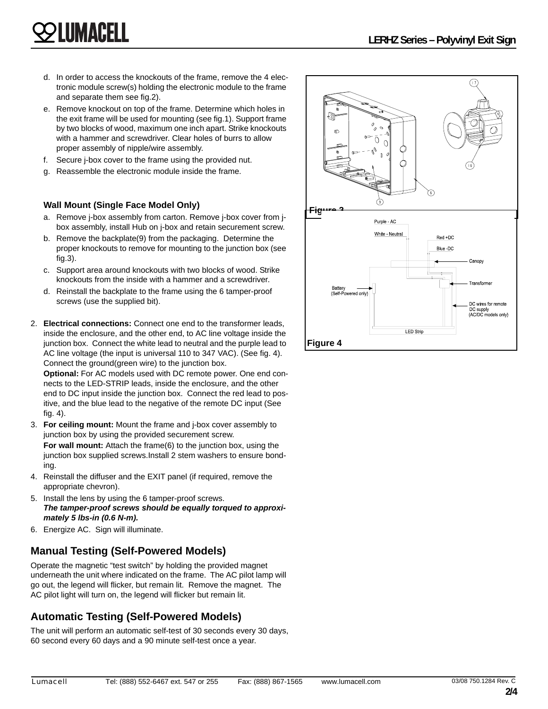- d. In order to access the knockouts of the frame, remove the 4 electronic module screw(s) holding the electronic module to the frame and separate them see fig.2).
- e. Remove knockout on top of the frame. Determine which holes in the exit frame will be used for mounting (see fig.1). Support frame by two blocks of wood, maximum one inch apart. Strike knockouts with a hammer and screwdriver. Clear holes of burrs to allow proper assembly of nipple/wire assembly.
- f. Secure j-box cover to the frame using the provided nut.
- Reassemble the electronic module inside the frame.

#### **Wall Mount (Single Face Model Only)**

LUMACELI

- a. Remove j-box assembly from carton. Remove j-box cover from jbox assembly, install Hub on j-box and retain securement screw.
- b. Remove the backplate(9) from the packaging. Determine the proper knockouts to remove for mounting to the junction box (see fig.3).
- c. Support area around knockouts with two blocks of wood. Strike knockouts from the inside with a hammer and a screwdriver.
- d. Reinstall the backplate to the frame using the 6 tamper-proof screws (use the supplied bit).
- 2. **Electrical connections:** Connect one end to the transformer leads, inside the enclosure, and the other end, to AC line voltage inside the junction box. Connect the white lead to neutral and the purple lead to AC line voltage (the input is universal 110 to 347 VAC). (See fig. 4). Connect the ground(green wire) to the junction box.

**Optional:** For AC models used with DC remote power. One end connects to the LED-STRIP leads, inside the enclosure, and the other end to DC input inside the junction box. Connect the red lead to positive, and the blue lead to the negative of the remote DC input (See fig. 4).

- 3. **For ceiling mount:** Mount the frame and j-box cover assembly to junction box by using the provided securement screw. **For wall mount:** Attach the frame(6) to the junction box, using the junction box supplied screws.Install 2 stem washers to ensure bonding.
- 4. Reinstall the diffuser and the EXIT panel (if required, remove the appropriate chevron).
- 5. Install the lens by using the 6 tamper-proof screws. *The tamper-proof screws should be equally torqued to approximately 5 lbs-in (0.6 N-m).*
- 6. Energize AC. Sign will illuminate.

#### **Manual Testing (Self-Powered Models)**

Operate the magnetic "test switch" by holding the provided magnet underneath the unit where indicated on the frame. The AC pilot lamp will go out, the legend will flicker, but remain lit. Remove the magnet. The AC pilot light will turn on, the legend will flicker but remain lit.

#### **Automatic Testing (Self-Powered Models)**

The unit will perform an automatic self-test of 30 seconds every 30 days, 60 second every 60 days and a 90 minute self-test once a year.

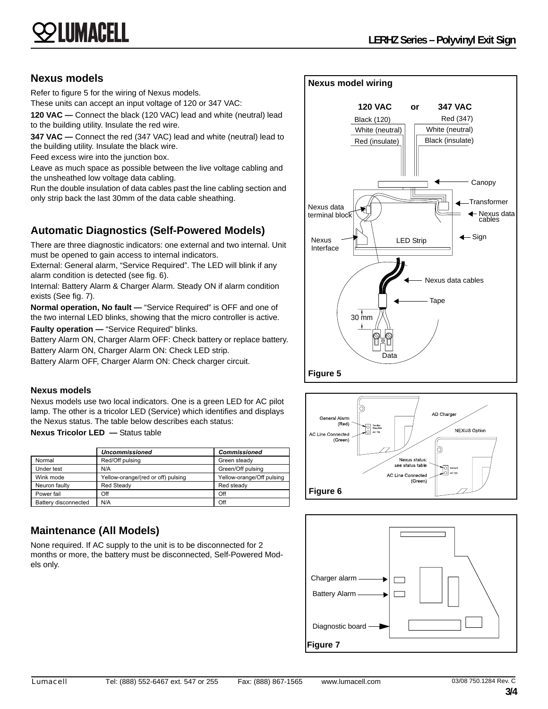# LUMACELL

#### **Nexus models**

Refer to figure 5 for the wiring of Nexus models.

These units can accept an input voltage of 120 or 347 VAC:

**120 VAC —** Connect the black (120 VAC) lead and white (neutral) lead to the building utility. Insulate the red wire.

**347 VAC —** Connect the red (347 VAC) lead and white (neutral) lead to the building utility. Insulate the black wire.

Feed excess wire into the junction box.

Leave as much space as possible between the live voltage cabling and the unsheathed low voltage data cabling.

Run the double insulation of data cables past the line cabling section and only strip back the last 30mm of the data cable sheathing.

## **Automatic Diagnostics (Self-Powered Models)**

There are three diagnostic indicators: one external and two internal. Unit must be opened to gain access to internal indicators.

External: General alarm, "Service Required". The LED will blink if any alarm condition is detected (see fig. 6).

Internal: Battery Alarm & Charger Alarm. Steady ON if alarm condition exists (See fig. 7).

**Normal operation, No fault —** "Service Required" is OFF and one of the two internal LED blinks, showing that the micro controller is active.

**Faulty operation —** "Service Required" blinks.

Battery Alarm ON, Charger Alarm OFF: Check battery or replace battery. Battery Alarm ON, Charger Alarm ON: Check LED strip.

Battery Alarm OFF, Charger Alarm ON: Check charger circuit.

#### **Nexus models**

Nexus models use two local indicators. One is a green LED for AC pilot lamp. The other is a tricolor LED (Service) which identifies and displays the Nexus status. The table below describes each status:

**Nexus Tricolor LED —** Status table

|                      | <b>Uncommissioned</b>              | <b>Commissioned</b>       |
|----------------------|------------------------------------|---------------------------|
| Normal               | Red/Off pulsing                    | Green steady              |
| Under test           | N/A                                | Green/Off pulsing         |
| Wink mode            | Yellow-orange/(red or off) pulsing | Yellow-orange/Off pulsing |
| Neuron faulty        | <b>Red Steady</b>                  | Red steady                |
| Power fail           | Off                                | Off                       |
| Battery disconnected | N/A                                | Off                       |

### **Maintenance (All Models)**

None required. If AC supply to the unit is to be disconnected for 2 months or more, the battery must be disconnected, Self-Powered Models only.